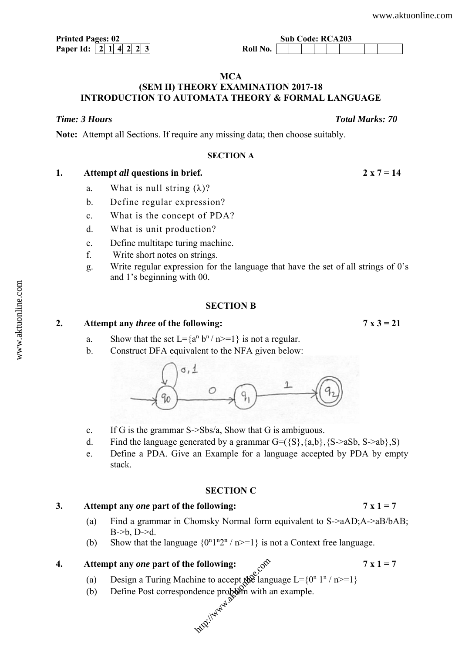**Printed Pages: 02** Sub Code: RCA203

#### **MCA**

# **(SEM II) THEORY EXAMINATION 2017-18 INTRODUCTION TO AUTOMATA THEORY & FORMAL LANGUAGE**

### *Time: 3 Hours Total Marks: 70*

**Note:** Attempt all Sections. If require any missing data; then choose suitably.

#### **SECTION A**

|  | Attempt all questions in brief. | $2 \times 7 = 14$ |
|--|---------------------------------|-------------------|
|--|---------------------------------|-------------------|

- a. What is null string  $(\lambda)$ ?
- b. Define regular expression?
- c. What is the concept of PDA?
- d. What is unit production?
- e. Define multitape turing machine.
- f. Write short notes on strings.
- g. Write regular expression for the language that have the set of all strings of 0's and 1's beginning with 00.

#### **SECTION B**

#### **2. Attempt any** *three* **of the following: 7 x 3 = 21**

- a. Show that the set  $L = \{a^n b^n / n \ge 1\}$  is not a regular.
- b. Construct DFA equivalent to the NFA given below:



- c. If G is the grammar S->Sbs/a, Show that G is ambiguous.
- d. Find the language generated by a grammar  $G = (\{S\}, \{a,b\}, \{S\}$ ->aSb, S->ab $\}$ ,S)
- e. Define a PDA. Give an Example for a language accepted by PDA by empty stack.

### **SECTION C**

### **3. Attempt any** *one* **part of the following: 7 x 1 = 7**

- (a) Find a grammar in Chomsky Normal form equivalent to S->aAD;A->aB/bAB; B->b, D->d.
- (b) Show that the language  $\{0^n1^n2^n / n \geq 1\}$  is not a Context free language.

# **4.** Attempt any *one* part of the following:  $\cos^{\circ}$  7 x 1 = 7

- (a) Design a Turing Machine to accept  $\mathbb{R}^{\infty}$  language  $L = \{0^n 1^n / n \geq 1\}$
- (b) Define Post correspondence problem with an example. **following:**<br>ine to accept the language of the language of the language of  $\cos \theta$  and  $\cos \theta$  with a set of  $\cos \theta$ .